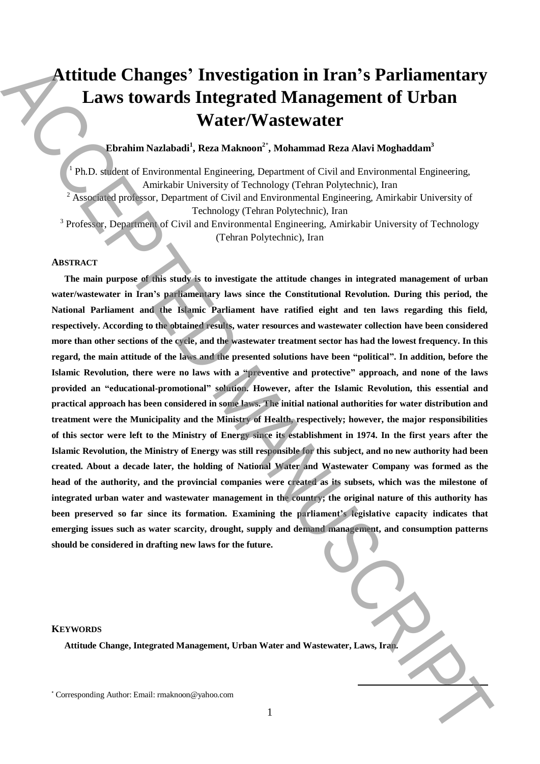# **Attitude Changes' Investigation in Iran's Parliamentary Laws towards Integrated Management of Urban Water/Wastewater**

## **Ebrahim Nazlabadi<sup>1</sup> , Reza Maknoon<sup>2</sup>**\* **, Mohammad Reza Alavi Moghaddam<sup>3</sup>**

<sup>1</sup> Ph.D. student of Environmental Engineering, Department of Civil and Environmental Engineering, Amirkabir University of Technology (Tehran Polytechnic), Iran  $2$  Associated professor, Department of Civil and Environmental Engineering, Amirkabir University of Technology (Tehran Polytechnic), Iran

<sup>3</sup> Professor, Department of Civil and Environmental Engineering, Amirkabir University of Technology (Tehran Polytechnic), Iran

## **ABSTRACT**

**The main purpose of this study is to investigate the attitude changes in integrated management of urban water/wastewater in Iran's parliamentary laws since the Constitutional Revolution. During this period, the National Parliament and the Islamic Parliament have ratified eight and ten laws regarding this field, respectively. According to the obtained results, water resources and wastewater collection have been considered more than other sections of the cycle, and the wastewater treatment sector has had the lowest frequency. In this regard, the main attitude of the laws and the presented solutions have been "political". In addition, before the Islamic Revolution, there were no laws with a "preventive and protective" approach, and none of the laws provided an "educational-promotional" solution. However, after the Islamic Revolution, this essential and practical approach has been considered in some laws. The initial national authorities for water distribution and treatment were the Municipality and the Ministry of Health, respectively; however, the major responsibilities of this sector were left to the Ministry of Energy since its establishment in 1974. In the first years after the Islamic Revolution, the Ministry of Energy was still responsible for this subject, and no new authority had been created. About a decade later, the holding of National Water and Wastewater Company was formed as the head of the authority, and the provincial companies were created as its subsets, which was the milestone of integrated urban water and wastewater management in the country; the original nature of this authority has been preserved so far since its formation. Examining the parliament's legislative capacity indicates that emerging issues such as water scarcity, drought, supply and demand management, and consumption patterns should be considered in drafting new laws for the future. Attitude Changes' Investigation in Iran's Parliamentary<br>
Laws towards Integrated Management of Urban<br>
Water/Wastlewater (Notes and the angle of the state of the state of the state of the state of the state of the state o** 

## **KEYWORDS**

**Attitude Change, Integrated Management, Urban Water and Wastewater, Laws, Iran.**

**.**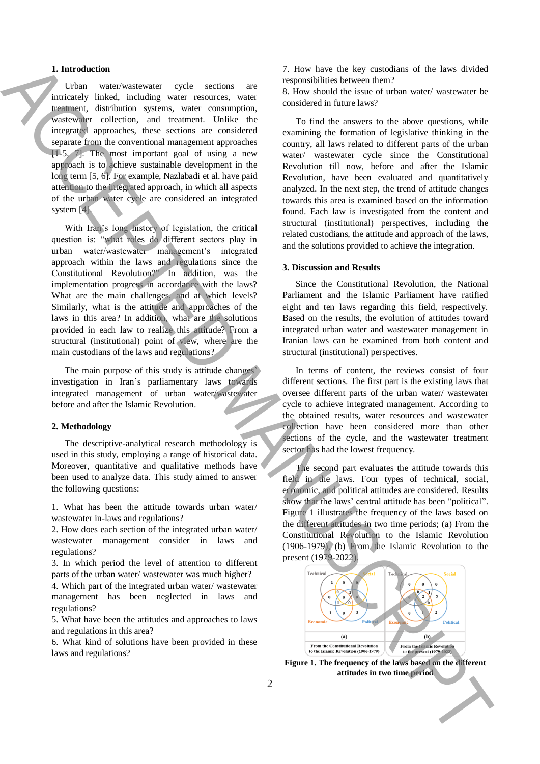## **1. Introduction**

Urban water/wastewater cycle sections are intricately linked, including water resources, water treatment, distribution systems, water consumption, wastewater collection, and treatment. Unlike the integrated approaches, these sections are considered separate from the conventional management approaches [1-5, 7]. The most important goal of using a new approach is to achieve sustainable development in the long term [5, 6]. For example, Nazlabadi et al. have paid attention to the integrated approach, in which all aspects of the urban water cycle are considered an integrated system [4].

With Iran's long history of legislation, the critical question is: "what roles do different sectors play in urban water/wastewater management's integrated approach within the laws and regulations since the Constitutional Revolution?" In addition, was the implementation progress in accordance with the laws? What are the main challenges, and at which levels? Similarly, what is the attitude and approaches of the laws in this area? In addition, what are the solutions provided in each law to realize this attitude? From a structural (institutional) point of view, where are the main custodians of the laws and regulations? **a** lattitude in the base of the state in the base in the base of the state in the state of the state of the state of the state of the state of the state of the state of the state of the state of the state of the state of

The main purpose of this study is attitude changes' investigation in Iran's parliamentary laws towards integrated management of urban water/wastewater before and after the Islamic Revolution.

#### **2. Methodology**

The descriptive-analytical research methodology is used in this study, employing a range of historical data. Moreover, quantitative and qualitative methods have been used to analyze data. This study aimed to answer the following questions:

1. What has been the attitude towards urban water/ wastewater in-laws and regulations?

2. How does each section of the integrated urban water/ wastewater management consider in laws and regulations?

3. In which period the level of attention to different parts of the urban water/ wastewater was much higher?

4. Which part of the integrated urban water/ wastewater management has been neglected in laws and regulations?

5. What have been the attitudes and approaches to laws and regulations in this area?

6. What kind of solutions have been provided in these laws and regulations?

7. How have the key custodians of the laws divided responsibilities between them?

8. How should the issue of urban water/ wastewater be considered in future laws?

To find the answers to the above questions, while examining the formation of legislative thinking in the country, all laws related to different parts of the urban water/ wastewater cycle since the Constitutional Revolution till now, before and after the Islamic Revolution, have been evaluated and quantitatively analyzed. In the next step, the trend of attitude changes towards this area is examined based on the information found. Each law is investigated from the content and structural (institutional) perspectives, including the related custodians, the attitude and approach of the laws, and the solutions provided to achieve the integration.

## **3. Discussion and Results**

Since the Constitutional Revolution, the National Parliament and the Islamic Parliament have ratified eight and ten laws regarding this field, respectively. Based on the results, the evolution of attitudes toward integrated urban water and wastewater management in Iranian laws can be examined from both content and structural (institutional) perspectives.

In terms of content, the reviews consist of four different sections. The first part is the existing laws that oversee different parts of the urban water/ wastewater cycle to achieve integrated management. According to the obtained results, water resources and wastewater collection have been considered more than other sections of the cycle, and the wastewater treatment sector has had the lowest frequency.

The second part evaluates the attitude towards this field in the laws. Four types of technical, social, economic, and political attitudes are considered. Results show that the laws' central attitude has been "political". Figure 1 illustrates the frequency of the laws based on the different attitudes in two time periods; (a) From the Constitutional Revolution to the Islamic Revolution (1906-1979), (b) From the Islamic Revolution to the present (1979-2022).



**Figure 1. The frequency of the laws based on the different**